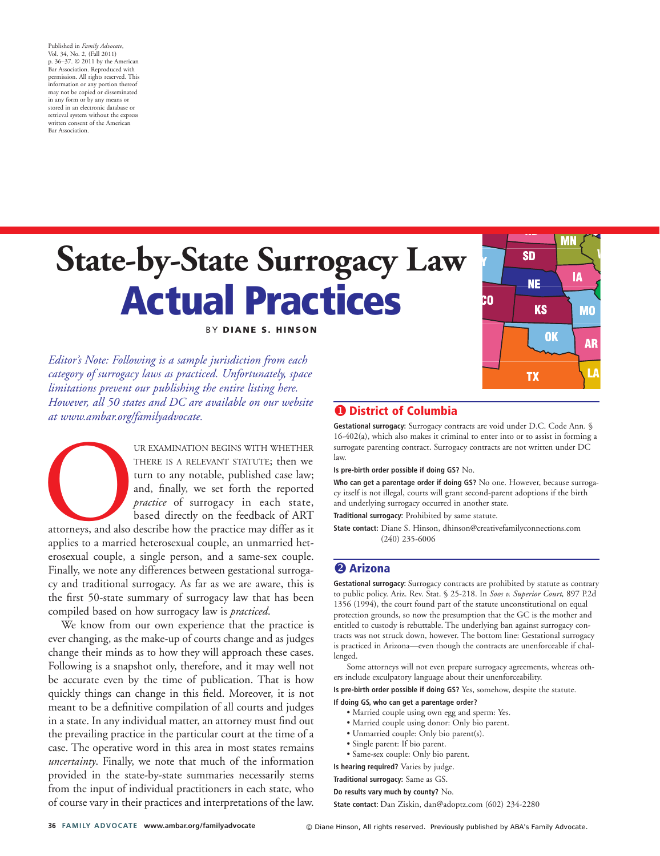Published in *Family Advocate*, Vol. 34, No. 2, (Fall 2011) p. 36–37. © 2011 by the American Bar Association. Reproduced with permission. All rights reserved. This information or any portion thereof may not be copied or disseminated in any form or by any means or stored in an electronic database or retrieval system without the express written consent of the American Bar Association.

# **State-by-State Surrogacy Law** Actual Practices

BY DIANE S. HINSON



*Editor's Note: Following is a sample jurisdiction from each category of surrogacy laws as practiced. Unfortunately, space limitations prevent our publishing the entire listing here. However, all 50 states and DC are available on our website*

*at www.ambar.org/familyadvocate.*

UR EXAMINATION BEGINS WITH WHETHER<br>THERE IS A RELEVANT STATUTE; then we<br>turn to any notable, published case law;<br>and, finally, we set forth the reported<br>*practice* of surrogacy in each state,<br>based directly on the feedback THERE IS A RELEVANT STATUTE; then we turn to any notable, published case law; and, finally, we set forth the reported *practice* of surrogacy in each state, based directly on the feedback of ART

attorneys, and also describe how the practice may differ as it applies to a married heterosexual couple, an unmarried heterosexual couple, a single person, and a same-sex couple. Finally, we note any differences between gestational surrogacy and traditional surrogacy. As far as we are aware, this is the first 50-state summary of surrogacy law that has been compiled based on how surrogacy law is *practiced*.

We know from our own experience that the practice is ever changing, as the make-up of courts change and as judges change their minds as to how they will approach these cases. Following is a snapshot only, therefore, and it may well not be accurate even by the time of publication. That is how quickly things can change in this field. Moreover, it is not meant to be a definitive compilation of all courts and judges in a state. In any individual matter, an attorney must find out the prevailing practice in the particular court at the time of a case. The operative word in this area in most states remains *uncertainty*. Finally, we note that much of the information provided in the state-by-state summaries necessarily stems from the input of individual practitioners in each state, who of course vary in their practices and interpretations of the law.

# **1** District of Columbia

**Gestational surrogacy:** Surrogacy contracts are void under D.C. Code Ann. § 16-402(a), which also makes it criminal to enter into or to assist in forming a surrogate parenting contract. Surrogacy contracts are not written under DC law.

**Is pre-birth order possible if doing GS?** No.

**Who can get a parentage order if doing GS?** No one. However, because surrogacy itself is not illegal, courts will grant second-parent adoptions if the birth and underlying surrogacy occurred in another state.

**Traditional surrogacy:** Prohibited by same statute.

**State contact:** Diane S. Hinson, dhinson@creativefamilyconnections.com (240) 235-6006

# **2** Arizona

**Gestational surrogacy:** Surrogacy contracts are prohibited by statute as contrary to public policy. Ariz. Rev. Stat. § 25-218. In *Soos v. Superior Court,* 897 P.2d 1356 (1994), the court found part of the statute unconstitutional on equal protection grounds, so now the presumption that the GC is the mother and entitled to custody is rebuttable. The underlying ban against surrogacy contracts was not struck down, however. The bottom line: Gestational surrogacy is practiced in Arizona—even though the contracts are unenforceable if challenged.

Some attorneys will not even prepare surrogacy agreements, whereas others include exculpatory language about their unenforceability.

**Is pre-birth order possible if doing GS?** Yes, somehow, despite the statute.

**If doing GS, who can get a parentage order?**

- Married couple using own egg and sperm: Yes.
- Married couple using donor: Only bio parent.
- Unmarried couple: Only bio parent(s).
- Single parent: If bio parent. • Same-sex couple: Only bio parent.
- 

**Is hearing required?** Varies by judge. **Traditional surrogacy:** Same as GS.

**Do results vary much by county?** No.

**State contact:** Dan Ziskin, dan@adoptz.com (602) 234-2280